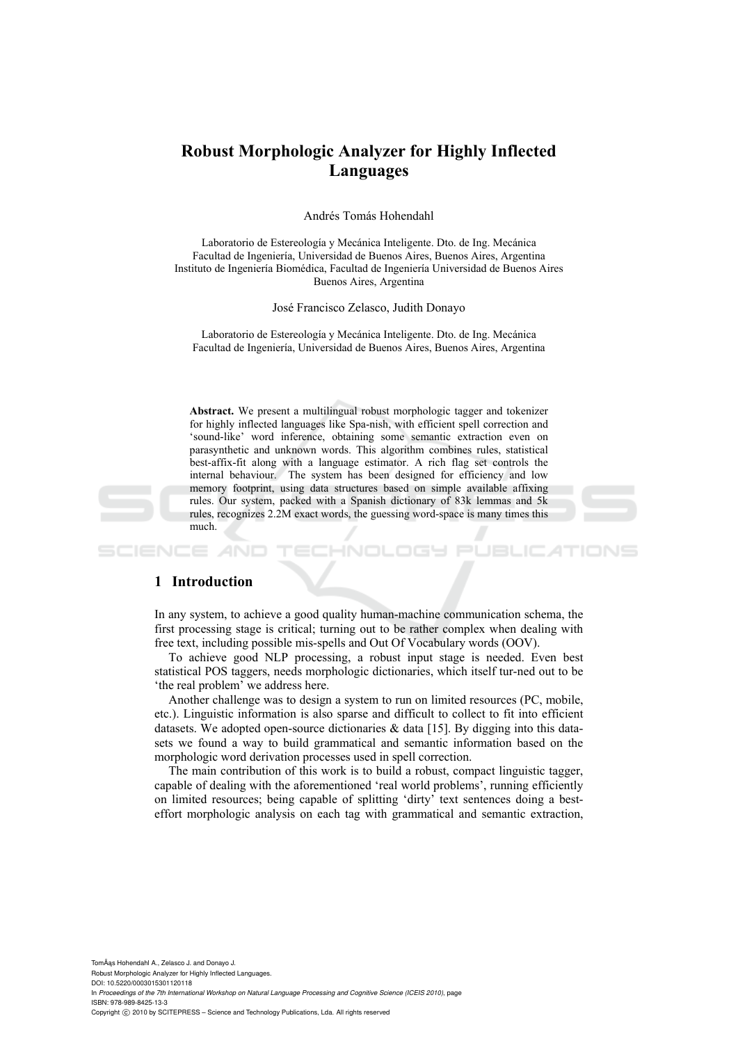# **Robust Morphologic Analyzer for Highly Inflected Languages**

Andrés Tomás Hohendahl

Laboratorio de Estereología y Mecánica Inteligente. Dto. de Ing. Mecánica Facultad de Ingeniería, Universidad de Buenos Aires, Buenos Aires, Argentina Instituto de Ingeniería Biomédica, Facultad de Ingeniería Universidad de Buenos Aires Buenos Aires, Argentina

José Francisco Zelasco, Judith Donayo

Laboratorio de Estereología y Mecánica Inteligente. Dto. de Ing. Mecánica Facultad de Ingeniería, Universidad de Buenos Aires, Buenos Aires, Argentina

**Abstract.** We present a multilingual robust morphologic tagger and tokenizer for highly inflected languages like Spa-nish, with efficient spell correction and 'sound-like' word inference, obtaining some semantic extraction even on parasynthetic and unknown words. This algorithm combines rules, statistical best-affix-fit along with a language estimator. A rich flag set controls the internal behaviour. The system has been designed for efficiency and low memory footprint, using data structures based on simple available affixing rules. Our system, packed with a Spanish dictionary of 83k lemmas and 5k rules, recognizes 2.2M exact words, the guessing word-space is many times this much.

#### **1 Introduction**

In any system, to achieve a good quality human-machine communication schema, the first processing stage is critical; turning out to be rather complex when dealing with free text, including possible mis-spells and Out Of Vocabulary words (OOV).

To achieve good NLP processing, a robust input stage is needed. Even best statistical POS taggers, needs morphologic dictionaries, which itself tur-ned out to be 'the real problem' we address here.

Another challenge was to design a system to run on limited resources (PC, mobile, etc.). Linguistic information is also sparse and difficult to collect to fit into efficient datasets. We adopted open-source dictionaries  $\&$  data [15]. By digging into this datasets we found a way to build grammatical and semantic information based on the morphologic word derivation processes used in spell correction.

The main contribution of this work is to build a robust, compact linguistic tagger, capable of dealing with the aforementioned 'real world problems', running efficiently on limited resources; being capable of splitting 'dirty' text sentences doing a besteffort morphologic analysis on each tag with grammatical and semantic extraction,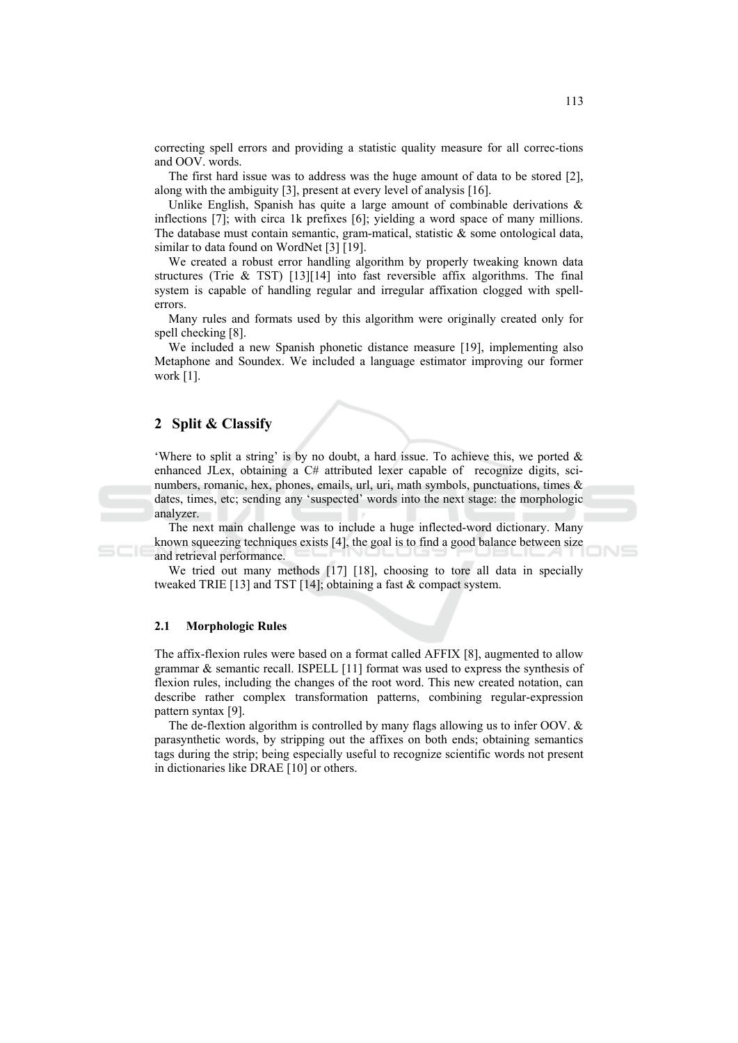correcting spell errors and providing a statistic quality measure for all correc-tions and OOV. words.

The first hard issue was to address was the huge amount of data to be stored  $[2]$ , along with the ambiguity [3], present at every level of analysis [16].

Unlike English, Spanish has quite a large amount of combinable derivations  $\&$ inflections [7]; with circa 1k prefixes [6]; yielding a word space of many millions. The database must contain semantic, gram-matical, statistic  $\&$  some ontological data, similar to data found on WordNet [3] [19].

We created a robust error handling algorithm by properly tweaking known data structures (Trie & TST)  $[13][14]$  into fast reversible affix algorithms. The final system is capable of handling regular and irregular affixation clogged with spellerrors.

Many rules and formats used by this algorithm were originally created only for spell checking [8].

We included a new Spanish phonetic distance measure [19], implementing also Metaphone and Soundex. We included a language estimator improving our former work  $[1]$ .

### 2 Split & Classify

'Where to split a string' is by no doubt, a hard issue. To achieve this, we ported  $\&$ enhanced JLex, obtaining a C# attributed lexer capable of recognize digits, scinumbers, romanic, hex, phones, emails, url, uri, math symbols, punctuations, times & dates, times, etc; sending any 'suspected' words into the next stage: the morphologic analyzer.

The next main challenge was to include a huge inflected-word dictionary. Many known squeezing techniques exists [4], the goal is to find a good balance between size and retrieval performance.

We tried out many methods [17] [18], choosing to tore all data in specially tweaked TRIE [13] and TST [14]; obtaining a fast  $&$  compact system.

#### $2.1$ **Morphologic Rules**

The affix-flexion rules were based on a format called AFFIX [8], augmented to allow grammar  $\&$  semantic recall. ISPELL [11] format was used to express the synthesis of flexion rules, including the changes of the root word. This new created notation, can describe rather complex transformation patterns, combining regular-expression pattern syntax [9].

The de-flextion algorithm is controlled by many flags allowing us to infer OOV.  $\&$ parasynthetic words, by stripping out the affixes on both ends; obtaining semantics tags during the strip; being especially useful to recognize scientific words not present in dictionaries like DRAE [10] or others.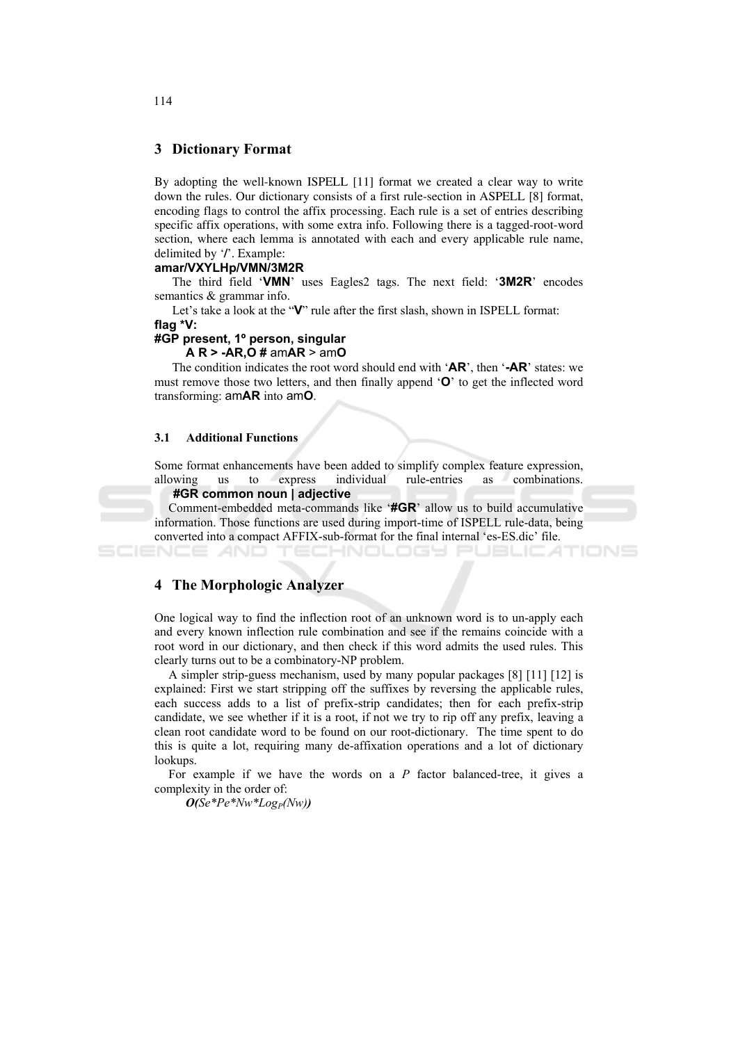# **3 Dictionary Format**

By adopting the well-known ISPELL [11] format we created a clear way to write down the rules. Our dictionary consists of a first rule-section in ASPELL [8] format, encoding flags to control the affix processing. Each rule is a set of entries describing specific affix operations, with some extra info. Following there is a tagged-root-word section, where each lemma is annotated with each and every applicable rule name, delimited by '/'. Example:

#### amar/VXYLHp/VMN/3M2R

The third field 'VMN' uses Eagles2 tags. The next field: '3M2R' encodes semantics & grammar info.

Let's take a look at the "V" rule after the first slash, shown in ISPELL format:

flag \*V:

SCIENCE *A*ND

### #GP present, 1º person, singular

#### $AR > -AR$ ,  $O \# amAR > amO$

The condition indicates the root word should end with  $'AR'$ , then  $'-AR'$  states: we must remove those two letters, and then finally append 'O' to get the inflected word transforming: amAR into amO.

#### $3.1$ **Additional Functions**

Some format enhancements have been added to simplify complex feature expression, individual combinations. allowing us to express rule-entries as

#### #GR common noun | adiective

Comment-embedded meta-commands like '#GR' allow us to build accumulative information. Those functions are used during import-time of ISPELL rule-data, being converted into a compact AFFIX-sub-format for the final internal 'es-ES.dic' file.

1-NOLOG4

TIONS

#### 4 The Morphologic Analyzer

One logical way to find the inflection root of an unknown word is to un-apply each and every known inflection rule combination and see if the remains coincide with a root word in our dictionary, and then check if this word admits the used rules. This clearly turns out to be a combinatory-NP problem.

A simpler strip-guess mechanism, used by many popular packages [8] [11] [12] is explained: First we start stripping off the suffixes by reversing the applicable rules, each success adds to a list of prefix-strip candidates; then for each prefix-strip candidate, we see whether if it is a root, if not we try to rip off any prefix, leaving a clean root candidate word to be found on our root-dictionary. The time spent to do this is quite a lot, requiring many de-affixation operations and a lot of dictionary lookups.

For example if we have the words on a  $P$  factor balanced-tree, it gives a complexity in the order of:

 $O(Se*Pe*Nw*Log_P(Nw))$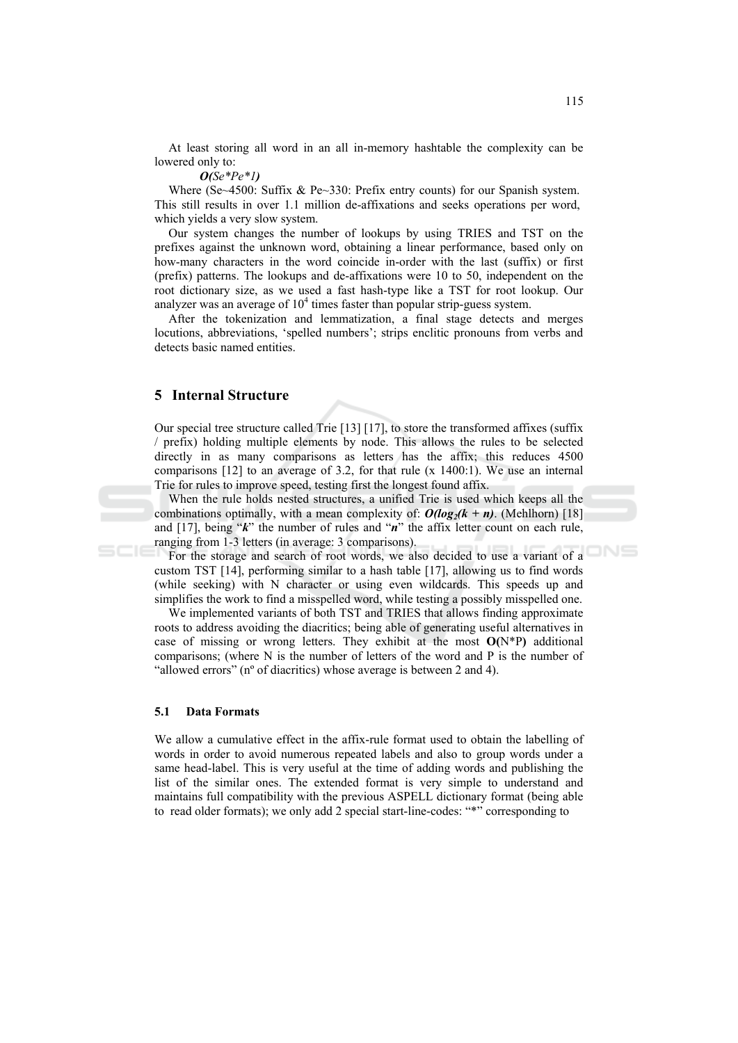At least storing all word in an all in-memory hashtable the complexity can be lowered only to:

#### $O(Se*Pe*1)$

Where (Se~4500: Suffix & Pe~330: Prefix entry counts) for our Spanish system. This still results in over 1.1 million de-affixations and seeks operations per word, which yields a very slow system.

Our system changes the number of lookups by using TRIES and TST on the prefixes against the unknown word, obtaining a linear performance, based only on how-many characters in the word coincide in-order with the last (suffix) or first (prefix) patterns. The lookups and de-affixations were 10 to 50, independent on the root dictionary size, as we used a fast hash-type like a TST for root lookup. Our analyzer was an average of  $10<sup>4</sup>$  times faster than popular strip-guess system.

After the tokenization and lemmatization, a final stage detects and merges locutions, abbreviations, 'spelled numbers'; strips enclitic pronouns from verbs and detects basic named entities.

### **5** Internal Structure

Our special tree structure called Trie [13] [17], to store the transformed affixes (suffix / prefix) holding multiple elements by node. This allows the rules to be selected directly in as many comparisons as letters has the affix; this reduces 4500 comparisons  $[12]$  to an average of 3.2, for that rule  $(x 1400:1)$ . We use an internal Trie for rules to improve speed, testing first the longest found affix.

When the rule holds nested structures, a unified Trie is used which keeps all the combinations optimally, with a mean complexity of:  $O(log_2(k + n)$ . (Mehlhorn) [18] and [17], being " $k$ " the number of rules and " $n$ " the affix letter count on each rule, ranging from 1-3 letters (in average: 3 comparisons).

For the storage and search of root words, we also decided to use a variant of a custom TST [14], performing similar to a hash table [17], allowing us to find words (while seeking) with N character or using even wildcards. This speeds up and simplifies the work to find a misspelled word, while testing a possibly misspelled one.

We implemented variants of both TST and TRIES that allows finding approximate roots to address avoiding the diacritics; being able of generating useful alternatives in case of missing or wrong letters. They exhibit at the most  $O(N*P)$  additional comparisons; (where N is the number of letters of the word and P is the number of "allowed errors" (n° of diacritics) whose average is between 2 and 4).

#### 5.1 **Data Formats**

We allow a cumulative effect in the affix-rule format used to obtain the labelling of words in order to avoid numerous repeated labels and also to group words under a same head-label. This is very useful at the time of adding words and publishing the list of the similar ones. The extended format is very simple to understand and maintains full compatibility with the previous ASPELL dictionary format (being able to read older formats); we only add 2 special start-line-codes: "\*" corresponding to

ONS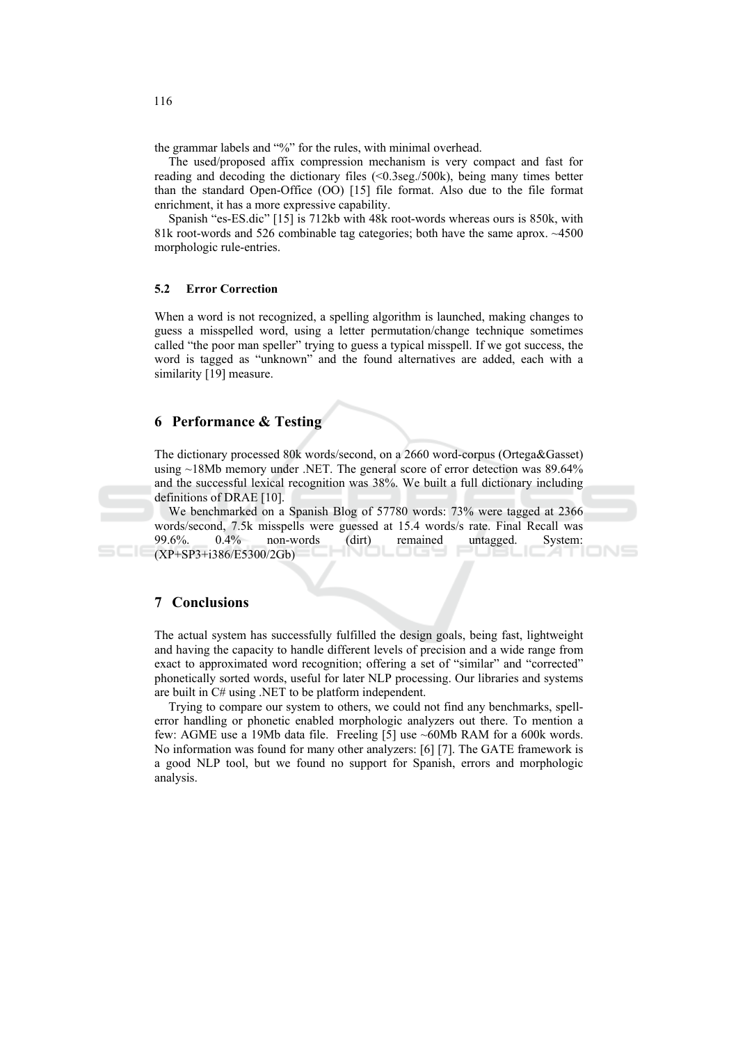the grammar labels and "%" for the rules, with minimal overhead.

The used/proposed affix compression mechanism is very compact and fast for reading and decoding the dictionary files  $(\leq 0.3$ seg./500k), being many times better than the standard Open-Office (OO) [15] file format. Also due to the file format enrichment, it has a more expressive capability.

Spanish "es-ES dic" [15] is 712kb with 48k root-words whereas ours is 850k, with 81k root-words and 526 combinable tag categories; both have the same aprox.  $\sim$ 4500 morphologic rule-entries.

#### $5.2$ **Error Correction**

When a word is not recognized, a spelling algorithm is launched, making changes to guess a misspelled word, using a letter permutation/change technique sometimes called "the poor man speller" trying to guess a typical misspell. If we got success, the word is tagged as "unknown" and the found alternatives are added, each with a similarity [19] measure.

### **6** Performance & Testing

The dictionary processed 80k words/second, on a 2660 word-corpus (Ortega&Gasset) using  $\sim$ 18Mb memory under .NET. The general score of error detection was 89.64% and the successful lexical recognition was 38%. We built a full dictionary including definitions of DRAE [10].

We benchmarked on a Spanish Blog of 57780 words: 73% were tagged at 2366 words/second, 7.5k misspells were guessed at 15.4 words/s rate. Final Recall was 99.6%  $0.4\%$ non-words System: remained untagged.  $\text{(dirt)}$  $(XP+SP3+i386/E5300/2Gb)$ 

# **7** Conclusions

The actual system has successfully fulfilled the design goals, being fast, lightweight and having the capacity to handle different levels of precision and a wide range from exact to approximated word recognition; offering a set of "similar" and "corrected" phonetically sorted words, useful for later NLP processing. Our libraries and systems are built in C# using .NET to be platform independent.

Trying to compare our system to others, we could not find any benchmarks, spellerror handling or phonetic enabled morphologic analyzers out there. To mention a few: AGME use a 19Mb data file. Freeling [5] use ~60Mb RAM for a 600k words. No information was found for many other analyzers:  $[6]$  [7]. The GATE framework is a good NLP tool, but we found no support for Spanish, errors and morphologic analysis.

116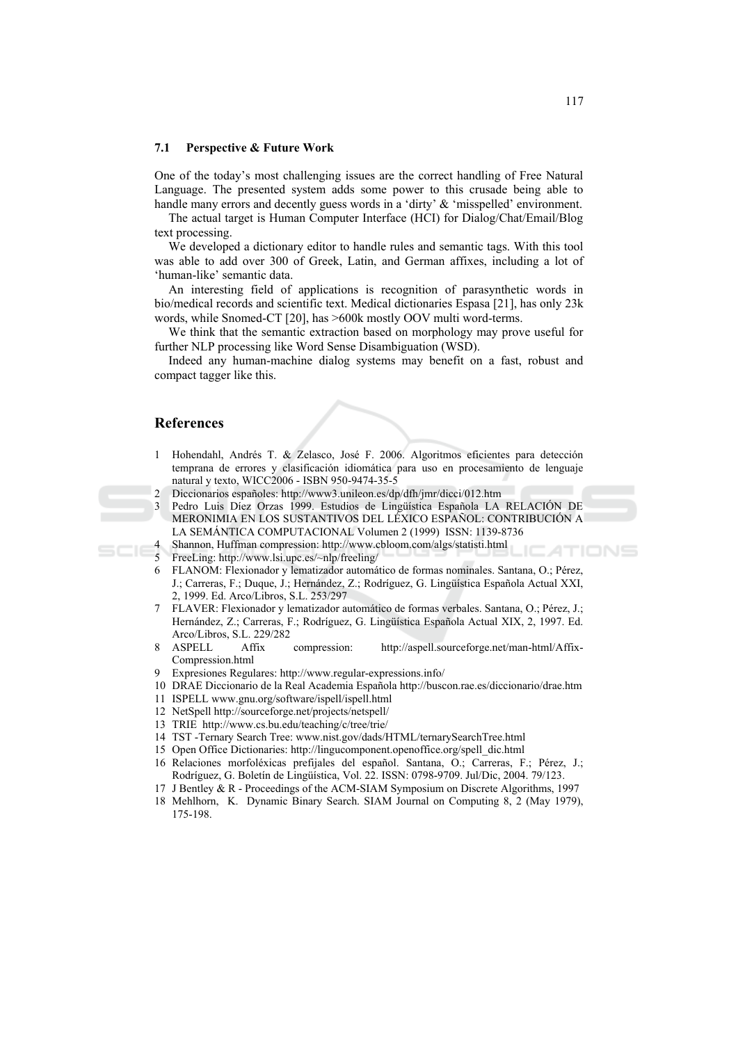#### $7.1$ **Perspective & Future Work**

One of the today's most challenging issues are the correct handling of Free Natural Language. The presented system adds some power to this crusade being able to handle many errors and decently guess words in a 'dirty' & 'misspelled' environment.

The actual target is Human Computer Interface (HCI) for Dialog/Chat/Email/Blog text processing.

We developed a dictionary editor to handle rules and semantic tags. With this tool was able to add over 300 of Greek, Latin, and German affixes, including a lot of 'human-like' semantic data.

An interesting field of applications is recognition of parasynthetic words in bio/medical records and scientific text. Medical dictionaries Espasa [21], has only 23k words, while Snomed-CT [20], has >600k mostly OOV multi word-terms.

We think that the semantic extraction based on morphology may prove useful for further NLP processing like Word Sense Disambiguation (WSD).

Indeed any human-machine dialog systems may benefit on a fast, robust and compact tagger like this.

### **References**

- Hohendahl, Andrés T. & Zelasco, José F. 2006. Algoritmos eficientes para detección  $\mathbf{1}$ temprana de errores y clasificación idiomática para uso en procesamiento de lenguaje natural y texto, WICC2006 - ISBN 950-9474-35-5
- $\overline{\mathcal{L}}$ Diccionarios españoles: http://www3.unileon.es/dp/dfh/jmr/dicci/012.htm
- 3 Pedro Luis Díez Orzas 1999. Estudios de Lingüística Española LA RELACIÓN DE MERONIMIA EN LOS SUSTANTIVOS DEL LÉXICO ESPAÑOL: CONTRIBUCIÓN A LA SEMÁNTICA COMPUTACIONAL Volumen 2 (1999) ISSN: 1139-8736
	- Shannon, Huffman compression: http://www.cbloom.com/algs/statisti.html
- $\leq$ FreeLing: http://www.lsi.upc.es/~nlp/freeling/
- 6 FLANOM: Flexionador y lematizador automático de formas nominales. Santana, O.: Pérez, J.; Carreras, F.; Duque, J.; Hernández, Z.; Rodríguez, G. Lingüística Española Actual XXI, 2, 1999. Ed. Arco/Libros, S.L. 253/297
- $7\overline{ }$ FLAVER: Flexionador y lematizador automático de formas verbales. Santana, O.; Pérez, J.; Hernández, Z.; Carreras, F.; Rodríguez, G. Lingüística Española Actual XIX, 2, 1997. Ed. Arco/Libros, S.L. 229/282
- $\mathbf{R}$ **ASPELL** Affix compression: http://aspell.sourceforge.net/man-html/Affix-Compression.html
- 9 Expresiones Regulares: http://www.regular-expressions.info/
- 10 DRAE Diccionario de la Real Academia Española http://buscon.rae.es/diccionario/drae.htm
- 11 ISPELL www.gnu.org/software/ispell/ispell.html
- 12 NetSpell http://sourceforge.net/projects/netspell/
- 13 TRIE http://www.cs.bu.edu/teaching/c/tree/trie/
- 14 TST -Ternary Search Tree: www.nist.gov/dads/HTML/ternarySearchTree.html
- 15 Open Office Dictionaries: http://lingucomponent.openoffice.org/spell dic.html
- 16 Relaciones morfoléxicas prefijales del español. Santana, O.; Carreras, F.; Pérez, J.; Rodríguez, G. Boletín de Lingüística, Vol. 22, ISSN: 0798-9709, Jul/Dic, 2004, 79/123.
- 17 J Bentley & R Proceedings of the ACM-SIAM Symposium on Discrete Algorithms, 1997
- 18 Mehlhorn, K. Dynamic Binary Search. SIAM Journal on Computing 8, 2 (May 1979), 175-198.

ATIONS